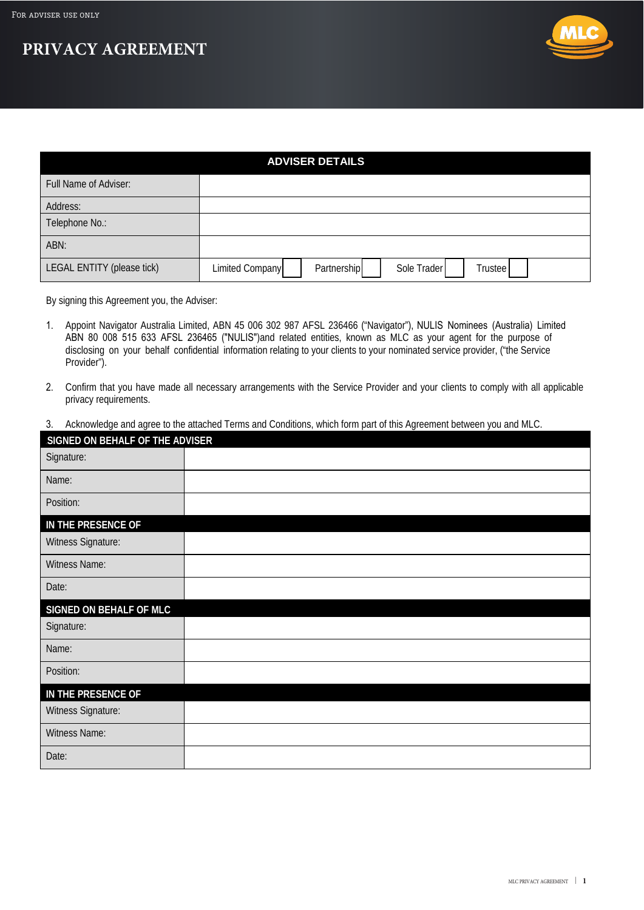



| <b>ADVISER DETAILS</b>     |                                                          |  |
|----------------------------|----------------------------------------------------------|--|
| Full Name of Adviser:      |                                                          |  |
| Address:                   |                                                          |  |
| Telephone No.:             |                                                          |  |
| ABN:                       |                                                          |  |
| LEGAL ENTITY (please tick) | Sole Trader<br>Partnership<br>Limited Company<br>Trustee |  |

By signing this Agreement you, the Adviser:

- 1. Appoint Navigator Australia Limited, ABN 45 006 302 987 AFSL 236466 ("Navigator"), NULIS Nominees (Australia) Limited ABN 80 008 515 633 AFSL 236465 ("NULIS")and related entities, known as MLC as your agent for the purpose of disclosing on your behalf confidential information relating to your clients to your nominated service provider, ("the Service Provider").
- 2. Confirm that you have made all necessary arrangements with the Service Provider and your clients to comply with all applicable privacy requirements.
- 3. Acknowledge and agree to the attached Terms and Conditions, which form part of this Agreement between you and MLC.

| SIGNED ON BEHALF OF THE ADVISER |  |
|---------------------------------|--|
| Signature:                      |  |
| Name:                           |  |
| Position:                       |  |
| IN THE PRESENCE OF              |  |
| Witness Signature:              |  |
| Witness Name:                   |  |
| Date:                           |  |
| <b>SIGNED ON BEHALF OF MLC</b>  |  |
| Signature:                      |  |
| Name:                           |  |
| Position:                       |  |
| IN THE PRESENCE OF              |  |
| Witness Signature:              |  |
| Witness Name:                   |  |
| Date:                           |  |